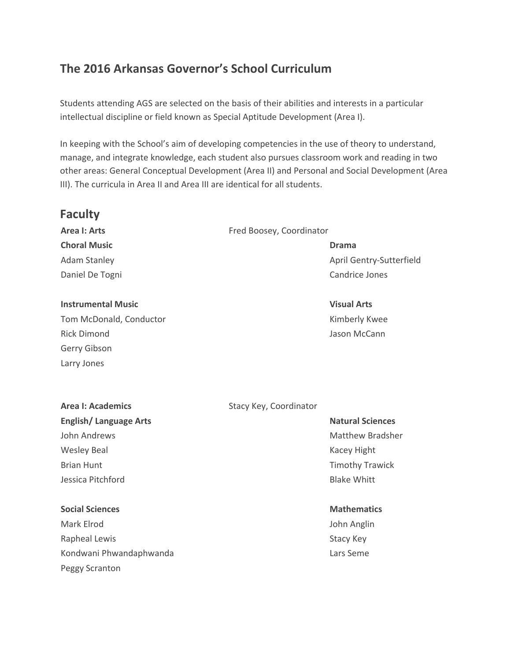# **The 2016 Arkansas Governor's School Curriculum**

Students attending AGS are selected on the basis of their abilities and interests in a particular intellectual discipline or field known as Special Aptitude Development (Area I).

In keeping with the School's aim of developing competencies in the use of theory to understand, manage, and integrate knowledge, each student also pursues classroom work and reading in two other areas: General Conceptual Development (Area II) and Personal and Social Development (Area III). The curricula in Area II and Area III are identical for all students.

## **Faculty**

**Choral Music Drama**

#### **Instrumental Music Visual Arts**

Tom McDonald, Conductor Tom McDonald, Conductor And American Conductor Rimberly Kwee Rick Dimond Jason McCann Gerry Gibson Larry Jones

#### **Area I: Arts** Fred Boosey, Coordinator

Adam Stanley April Gentry-Sutterfield Daniel De Togni Candrice Jones Candrice Jones

## **English/Language Arts Natural Sciences Natural Sciences** John Andrews **Matthew Bradsher** Matthew Bradsher Wesley Beal News Assessment Contract Contract Contract Contract Contract Contract Contract Contract Contract Contract Contract Contract Contract Contract Contract Contract Contract Contract Contract Contract Contract Contr Brian Hunt **Timothy Trawick Brian Hunt** Timothy Trawick Jessica Pitchford Blake Whitt

## **Social Sciences Mathematics Mathematics Mathematics**

Mark Elrod John Anglin Rapheal Lewis **Example 20** and the state of the Stacy Key Kondwani Phwandaphwanda **Lars Seme** Lars Seme Peggy Scranton

### **Area I: Academics** Stacy Key, Coordinator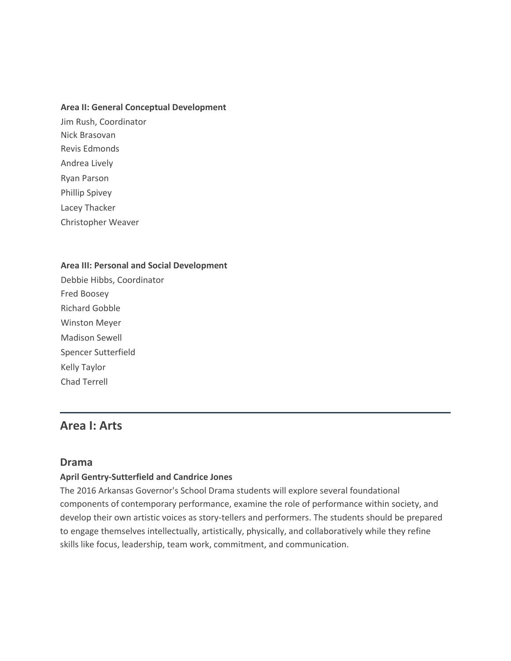#### **Area II: General Conceptual Development**

Jim Rush, Coordinator Nick Brasovan Revis Edmonds Andrea Lively Ryan Parson Phillip Spivey Lacey Thacker Christopher Weaver

#### **Area III: Personal and Social Development**

Debbie Hibbs, Coordinator Fred Boosey Richard Gobble Winston Meyer Madison Sewell Spencer Sutterfield Kelly Taylor Chad Terrell

## **Area I: Arts**

#### **Drama**

#### **April Gentry-Sutterfield and Candrice Jones**

The 2016 Arkansas Governor's School Drama students will explore several foundational components of contemporary performance, examine the role of performance within society, and develop their own artistic voices as story-tellers and performers. The students should be prepared to engage themselves intellectually, artistically, physically, and collaboratively while they refine skills like focus, leadership, team work, commitment, and communication.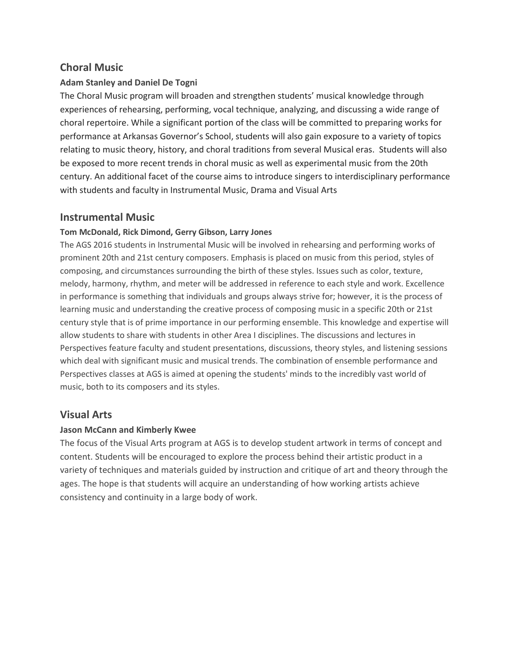## **Choral Music**

### **Adam Stanley and Daniel De Togni**

The Choral Music program will broaden and strengthen students' musical knowledge through experiences of rehearsing, performing, vocal technique, analyzing, and discussing a wide range of choral repertoire. While a significant portion of the class will be committed to preparing works for performance at Arkansas Governor's School, students will also gain exposure to a variety of topics relating to music theory, history, and choral traditions from several Musical eras. Students will also be exposed to more recent trends in choral music as well as experimental music from the 20th century. An additional facet of the course aims to introduce singers to interdisciplinary performance with students and faculty in Instrumental Music, Drama and Visual Arts

## **Instrumental Music**

### **Tom McDonald, Rick Dimond, Gerry Gibson, Larry Jones**

The AGS 2016 students in Instrumental Music will be involved in rehearsing and performing works of prominent 20th and 21st century composers. Emphasis is placed on music from this period, styles of composing, and circumstances surrounding the birth of these styles. Issues such as color, texture, melody, harmony, rhythm, and meter will be addressed in reference to each style and work. Excellence in performance is something that individuals and groups always strive for; however, it is the process of learning music and understanding the creative process of composing music in a specific 20th or 21st century style that is of prime importance in our performing ensemble. This knowledge and expertise will allow students to share with students in other Area I disciplines. The discussions and lectures in Perspectives feature faculty and student presentations, discussions, theory styles, and listening sessions which deal with significant music and musical trends. The combination of ensemble performance and Perspectives classes at AGS is aimed at opening the students' minds to the incredibly vast world of music, both to its composers and its styles.

## **Visual Arts**

#### **Jason McCann and Kimberly Kwee**

The focus of the Visual Arts program at AGS is to develop student artwork in terms of concept and content. Students will be encouraged to explore the process behind their artistic product in a variety of techniques and materials guided by instruction and critique of art and theory through the ages. The hope is that students will acquire an understanding of how working artists achieve consistency and continuity in a large body of work.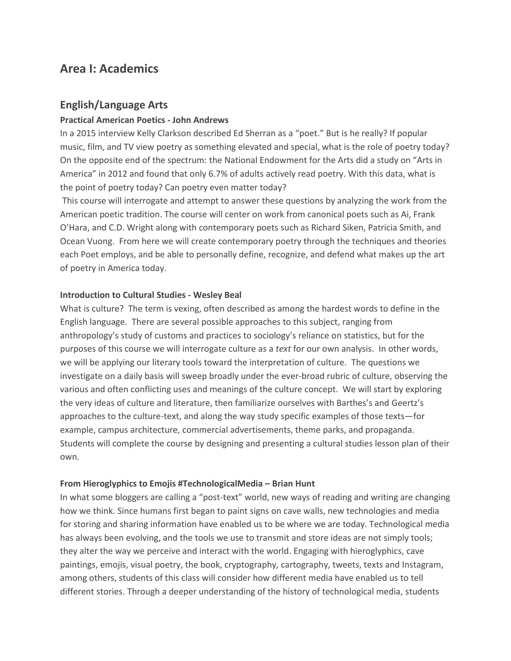## **Area I: Academics**

## **English/Language Arts**

#### **Practical American Poetics - John Andrews**

In a 2015 interview Kelly Clarkson described Ed Sherran as a "poet." But is he really? If popular music, film, and TV view poetry as something elevated and special, what is the role of poetry today? On the opposite end of the spectrum: the National Endowment for the Arts did a study on "Arts in America" in 2012 and found that only 6.7% of adults actively read poetry. With this data, what is the point of poetry today? Can poetry even matter today?

This course will interrogate and attempt to answer these questions by analyzing the work from the American poetic tradition. The course will center on work from canonical poets such as Ai, Frank O'Hara, and C.D. Wright along with contemporary poets such as Richard Siken, Patricia Smith, and Ocean Vuong. From here we will create contemporary poetry through the techniques and theories each Poet employs, and be able to personally define, recognize, and defend what makes up the art of poetry in America today.

#### **Introduction to Cultural Studies - Wesley Beal**

What is culture? The term is vexing, often described as among the hardest words to define in the English language. There are several possible approaches to this subject, ranging from anthropology's study of customs and practices to sociology's reliance on statistics, but for the purposes of this course we will interrogate culture as a *text* for our own analysis. In other words, we will be applying our literary tools toward the interpretation of culture.The questions we investigate on a daily basis will sweep broadly under the ever-broad rubric of culture, observing the various and often conflicting uses and meanings of the culture concept. We will start by exploring the very ideas of culture and literature, then familiarize ourselves with Barthes's and Geertz's approaches to the culture-text, and along the way study specific examples of those texts—for example, campus architecture, commercial advertisements, theme parks, and propaganda. Students will complete the course by designing and presenting a cultural studies lesson plan of their own.

#### **From Hieroglyphics to Emojis #TechnologicalMedia – Brian Hunt**

In what some bloggers are calling a "post-text" world, new ways of reading and writing are changing how we think. Since humans first began to paint signs on cave walls, new technologies and media for storing and sharing information have enabled us to be where we are today. Technological media has always been evolving, and the tools we use to transmit and store ideas are not simply tools; they alter the way we perceive and interact with the world. Engaging with hieroglyphics, cave paintings, emojis, visual poetry, the book, cryptography, cartography, tweets, texts and Instagram, among others, students of this class will consider how different media have enabled us to tell different stories. Through a deeper understanding of the history of technological media, students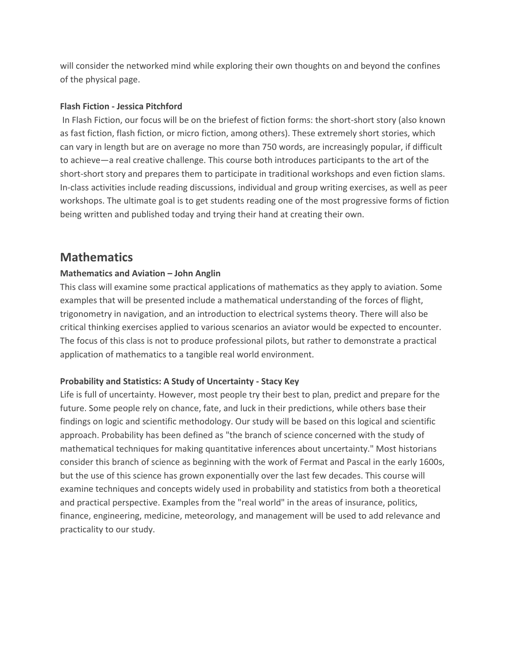will consider the networked mind while exploring their own thoughts on and beyond the confines of the physical page.

#### **Flash Fiction - Jessica Pitchford**

In Flash Fiction, our focus will be on the briefest of fiction forms: the short-short story (also known as fast fiction, flash fiction, or micro fiction, among others). These extremely short stories, which can vary in length but are on average no more than 750 words, are increasingly popular, if difficult to achieve—a real creative challenge. This course both introduces participants to the art of the short-short story and prepares them to participate in traditional workshops and even fiction slams. In-class activities include reading discussions, individual and group writing exercises, as well as peer workshops. The ultimate goal is to get students reading one of the most progressive forms of fiction being written and published today and trying their hand at creating their own.

## **Mathematics**

### **Mathematics and Aviation – John Anglin**

This class will examine some practical applications of mathematics as they apply to aviation. Some examples that will be presented include a mathematical understanding of the forces of flight, trigonometry in navigation, and an introduction to electrical systems theory. There will also be critical thinking exercises applied to various scenarios an aviator would be expected to encounter. The focus of this class is not to produce professional pilots, but rather to demonstrate a practical application of mathematics to a tangible real world environment.

#### **Probability and Statistics: A Study of Uncertainty - Stacy Key**

Life is full of uncertainty. However, most people try their best to plan, predict and prepare for the future. Some people rely on chance, fate, and luck in their predictions, while others base their findings on logic and scientific methodology. Our study will be based on this logical and scientific approach. Probability has been defined as "the branch of science concerned with the study of mathematical techniques for making quantitative inferences about uncertainty." Most historians consider this branch of science as beginning with the work of Fermat and Pascal in the early 1600s, but the use of this science has grown exponentially over the last few decades. This course will examine techniques and concepts widely used in probability and statistics from both a theoretical and practical perspective. Examples from the "real world" in the areas of insurance, politics, finance, engineering, medicine, meteorology, and management will be used to add relevance and practicality to our study.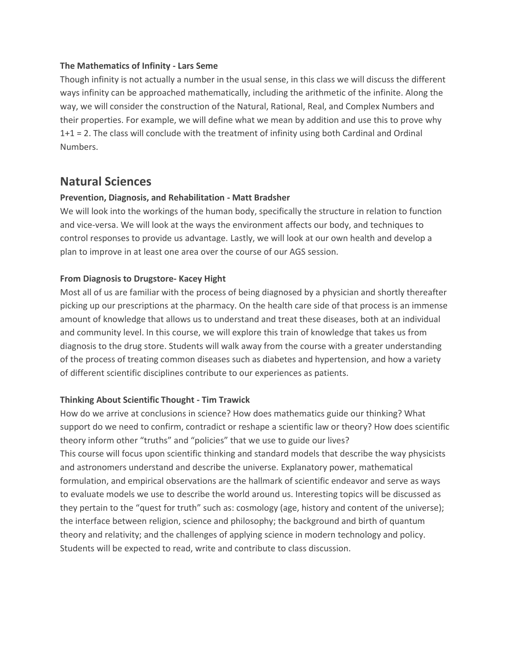#### **The Mathematics of Infinity - Lars Seme**

Though infinity is not actually a number in the usual sense, in this class we will discuss the different ways infinity can be approached mathematically, including the arithmetic of the infinite. Along the way, we will consider the construction of the Natural, Rational, Real, and Complex Numbers and their properties. For example, we will define what we mean by addition and use this to prove why 1+1 = 2. The class will conclude with the treatment of infinity using both Cardinal and Ordinal Numbers.

## **Natural Sciences**

#### **Prevention, Diagnosis, and Rehabilitation - Matt Bradsher**

We will look into the workings of the human body, specifically the structure in relation to function and vice-versa. We will look at the ways the environment affects our body, and techniques to control responses to provide us advantage. Lastly, we will look at our own health and develop a plan to improve in at least one area over the course of our AGS session.

#### **From Diagnosis to Drugstore- Kacey Hight**

Most all of us are familiar with the process of being diagnosed by a physician and shortly thereafter picking up our prescriptions at the pharmacy. On the health care side of that process is an immense amount of knowledge that allows us to understand and treat these diseases, both at an individual and community level. In this course, we will explore this train of knowledge that takes us from diagnosis to the drug store. Students will walk away from the course with a greater understanding of the process of treating common diseases such as diabetes and hypertension, and how a variety of different scientific disciplines contribute to our experiences as patients.

#### **Thinking About Scientific Thought - Tim Trawick**

How do we arrive at conclusions in science? How does mathematics guide our thinking? What support do we need to confirm, contradict or reshape a scientific law or theory? How does scientific theory inform other "truths" and "policies" that we use to guide our lives? This course will focus upon scientific thinking and standard models that describe the way physicists and astronomers understand and describe the universe. Explanatory power, mathematical formulation, and empirical observations are the hallmark of scientific endeavor and serve as ways to evaluate models we use to describe the world around us. Interesting topics will be discussed as they pertain to the "quest for truth" such as: cosmology (age, history and content of the universe); the interface between religion, science and philosophy; the background and birth of quantum theory and relativity; and the challenges of applying science in modern technology and policy. Students will be expected to read, write and contribute to class discussion.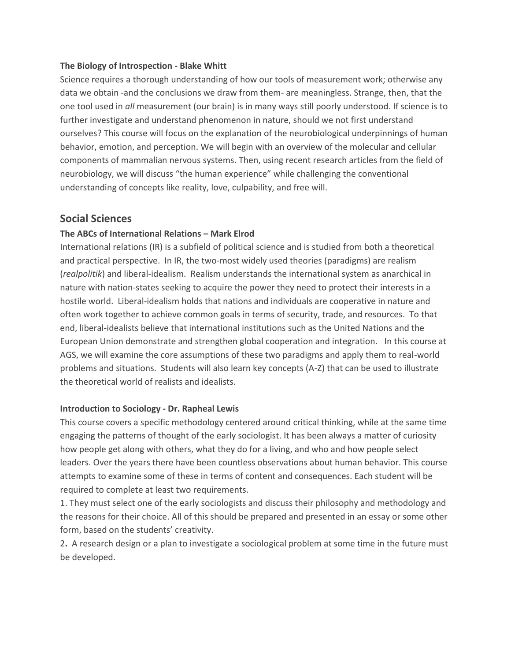#### **The Biology of Introspection - Blake Whitt**

Science requires a thorough understanding of how our tools of measurement work; otherwise any data we obtain -and the conclusions we draw from them- are meaningless. Strange, then, that the one tool used in *all* measurement (our brain) is in many ways still poorly understood. If science is to further investigate and understand phenomenon in nature, should we not first understand ourselves? This course will focus on the explanation of the neurobiological underpinnings of human behavior, emotion, and perception. We will begin with an overview of the molecular and cellular components of mammalian nervous systems. Then, using recent research articles from the field of neurobiology, we will discuss "the human experience" while challenging the conventional understanding of concepts like reality, love, culpability, and free will.

### **Social Sciences**

### **The ABCs of International Relations – Mark Elrod**

International relations (IR) is a subfield of political science and is studied from both a theoretical and practical perspective. In IR, the two-most widely used theories (paradigms) are realism (*realpolitik*) and liberal-idealism. Realism understands the international system as anarchical in nature with nation-states seeking to acquire the power they need to protect their interests in a hostile world. Liberal-idealism holds that nations and individuals are cooperative in nature and often work together to achieve common goals in terms of security, trade, and resources. To that end, liberal-idealists believe that international institutions such as the United Nations and the European Union demonstrate and strengthen global cooperation and integration. In this course at AGS, we will examine the core assumptions of these two paradigms and apply them to real-world problems and situations. Students will also learn key concepts (A-Z) that can be used to illustrate the theoretical world of realists and idealists.

#### **Introduction to Sociology - Dr. Rapheal Lewis**

This course covers a specific methodology centered around critical thinking, while at the same time engaging the patterns of thought of the early sociologist. It has been always a matter of curiosity how people get along with others, what they do for a living, and who and how people select leaders. Over the years there have been countless observations about human behavior. This course attempts to examine some of these in terms of content and consequences. Each student will be required to complete at least two requirements.

1. They must select one of the early sociologists and discuss their philosophy and methodology and the reasons for their choice. All of this should be prepared and presented in an essay or some other form, based on the students' creativity.

2**.** A research design or a plan to investigate a sociological problem at some time in the future must be developed.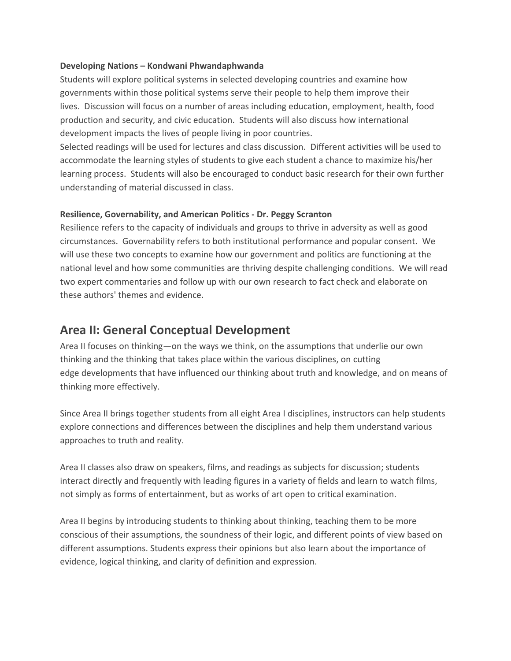#### **Developing Nations – Kondwani Phwandaphwanda**

Students will explore political systems in selected developing countries and examine how governments within those political systems serve their people to help them improve their lives. Discussion will focus on a number of areas including education, employment, health, food production and security, and civic education. Students will also discuss how international development impacts the lives of people living in poor countries.

Selected readings will be used for lectures and class discussion. Different activities will be used to accommodate the learning styles of students to give each student a chance to maximize his/her learning process. Students will also be encouraged to conduct basic research for their own further understanding of material discussed in class.

#### **Resilience, Governability, and American Politics - Dr. Peggy Scranton**

Resilience refers to the capacity of individuals and groups to thrive in adversity as well as good circumstances. Governability refers to both institutional performance and popular consent. We will use these two concepts to examine how our government and politics are functioning at the national level and how some communities are thriving despite challenging conditions. We will read two expert commentaries and follow up with our own research to fact check and elaborate on these authors' themes and evidence.

## **Area II: General Conceptual Development**

Area II focuses on thinking—on the ways we think, on the assumptions that underlie our own thinking and the thinking that takes place within the various disciplines, on cutting edge developments that have influenced our thinking about truth and knowledge, and on means of thinking more effectively.

Since Area II brings together students from all eight Area I disciplines, instructors can help students explore connections and differences between the disciplines and help them understand various approaches to truth and reality.

Area II classes also draw on speakers, films, and readings as subjects for discussion; students interact directly and frequently with leading figures in a variety of fields and learn to watch films, not simply as forms of entertainment, but as works of art open to critical examination.

Area II begins by introducing students to thinking about thinking, teaching them to be more conscious of their assumptions, the soundness of their logic, and different points of view based on different assumptions. Students express their opinions but also learn about the importance of evidence, logical thinking, and clarity of definition and expression.